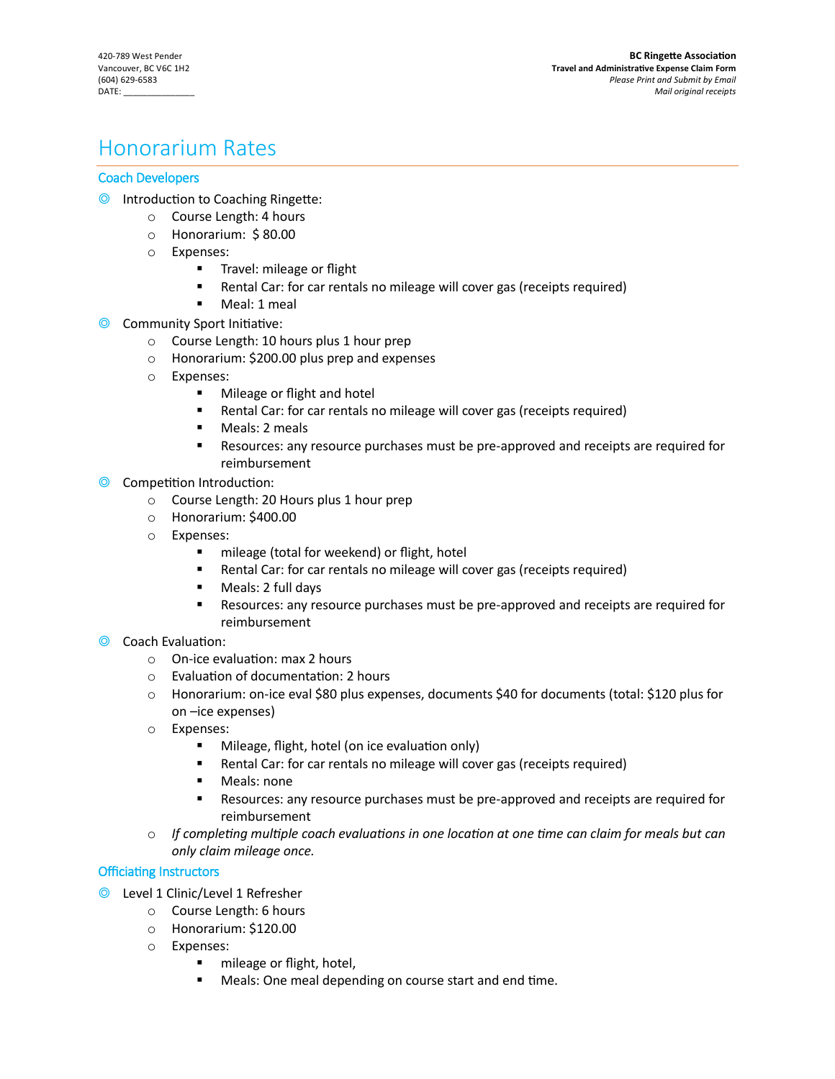# Honorarium Rates

# Coach Developers

- ◎ Introduction to Coaching Ringette:
	- o Course Length: 4 hours
	- o Honorarium: \$ 80.00
	- o Expenses:
		- **Travel: mileage or flight**
		- Rental Car: for car rentals no mileage will cover gas (receipts required)
		- **Meal: 1 meal**
- ◎ Community Sport Initiative:
	- o Course Length: 10 hours plus 1 hour prep
	- o Honorarium: \$200.00 plus prep and expenses
	- o Expenses:
		- **Nileage or flight and hotel**
		- Rental Car: for car rentals no mileage will cover gas (receipts required)
		- **Meals: 2 meals**
		- Resources: any resource purchases must be pre-approved and receipts are required for reimbursement
- ◎ Competition Introduction:
	- o Course Length: 20 Hours plus 1 hour prep
	- o Honorarium: \$400.00
	- o Expenses:
		- **n** mileage (total for weekend) or flight, hotel
		- Rental Car: for car rentals no mileage will cover gas (receipts required)
		- **Meals: 2 full days**
		- Resources: any resource purchases must be pre-approved and receipts are required for reimbursement
- ◎ Coach Evaluation:
	- o On-ice evaluation: max 2 hours
	- o Evaluation of documentation: 2 hours
	- o Honorarium: on-ice eval \$80 plus expenses, documents \$40 for documents (total: \$120 plus for on –ice expenses)
	- o Expenses:
		- **Mileage, flight, hotel (on ice evaluation only)**
		- Rental Car: for car rentals no mileage will cover gas (receipts required)
		- **Meals: none**
		- Resources: any resource purchases must be pre-approved and receipts are required for reimbursement
	- o *If completing multiple coach evaluations in one location at one time can claim for meals but can only claim mileage once.*

## Officiating Instructors

- ◎ Level 1 Clinic/Level 1 Refresher
	- o Course Length: 6 hours
	- o Honorarium: \$120.00
	- o Expenses:
		- **n** mileage or flight, hotel,
		- **Meals: One meal depending on course start and end time.**